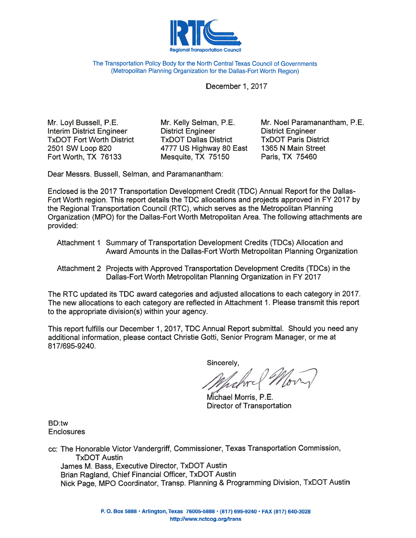

The Transportation Policy Body for the North Central Texas Council of Governments (Metropolitan Planning Organization for the Dallas-Fort Worth Region)

## December 1, 2017

Mr. Lovl Bussell, P.E. **Interim District Engineer TxDOT Fort Worth District** 2501 SW Loop 820 Fort Worth, TX 76133

Mr. Kelly Selman, P.E. **District Engineer TxDOT Dallas District** 4777 US Highway 80 East Mesquite, TX 75150

Mr. Noel Paramanantham, P.E. **District Engineer TxDOT Paris District** 1365 N Main Street Paris, TX 75460

Dear Messrs, Bussell, Selman, and Paramanantham:

Enclosed is the 2017 Transportation Development Credit (TDC) Annual Report for the Dallas-Fort Worth region. This report details the TDC allocations and projects approved in FY 2017 by the Regional Transportation Council (RTC), which serves as the Metropolitan Planning Organization (MPO) for the Dallas-Fort Worth Metropolitan Area. The following attachments are provided:

- Attachment 1 Summary of Transportation Development Credits (TDCs) Allocation and Award Amounts in the Dallas-Fort Worth Metropolitan Planning Organization
- Attachment 2 Projects with Approved Transportation Development Credits (TDCs) in the Dallas-Fort Worth Metropolitan Planning Organization in FY 2017

The RTC updated its TDC award categories and adjusted allocations to each category in 2017. The new allocations to each category are reflected in Attachment 1. Please transmit this report to the appropriate division(s) within your agency.

This report fulfills our December 1, 2017, TDC Annual Report submittal. Should you need any additional information, please contact Christie Gotti, Senior Program Manager, or me at 817/695-9240.

Sincerely,

Michael Morris, P.E. Director of Transportation

BD:tw **Enclosures** 

cc: The Honorable Victor Vandergriff, Commissioner, Texas Transportation Commission, **TxDOT Austin** James M. Bass, Executive Director, TxDOT Austin Brian Ragland, Chief Financial Officer, TxDOT Austin Nick Page, MPO Coordinator, Transp. Planning & Programming Division, TxDOT Austin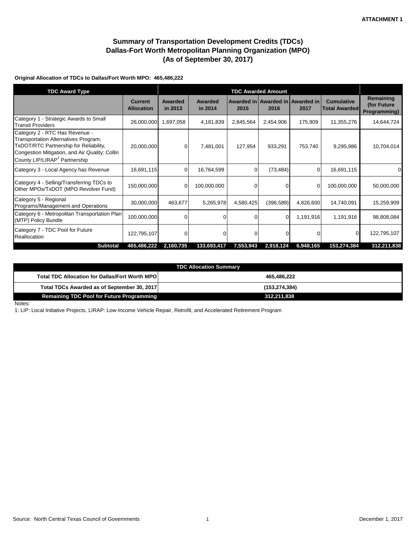# **Summary of Transportation Development Credits (TDCs) Dallas-Fort Worth Metropolitan Planning Organization (MPO) (As of September 30, 2017)**

### **Original Allocation of TDCs to Dallas/Fort Worth MPO: 465,486,222**

| <b>TDC Award Type</b>                                                                                                                                                                                           |                                     |                    |                    |           |            |                                          |                                           |                                                 |
|-----------------------------------------------------------------------------------------------------------------------------------------------------------------------------------------------------------------|-------------------------------------|--------------------|--------------------|-----------|------------|------------------------------------------|-------------------------------------------|-------------------------------------------------|
|                                                                                                                                                                                                                 | <b>Current</b><br><b>Allocation</b> | Awarded<br>in 2013 | Awarded<br>in 2014 | 2015      | 2016       | Awarded in Awarded in Awarded in<br>2017 | <b>Cumulative</b><br><b>Total Awarded</b> | Remaining<br>(for Future<br><b>Programming)</b> |
| Category 1 - Strategic Awards to Small<br><b>Transit Providers</b>                                                                                                                                              | 26,000,000                          | 1,697,058          | 4,181,839          | 2,845,564 | 2,454,906  | 175,909                                  | 11,355,276                                | 14,644,724                                      |
| Category 2 - RTC Has Revenue -<br>Transportation Alternatives Program;<br>TxDOT/RTC Partnership for Reliability,<br>Congestion Mitigation, and Air Quality; Collin<br>County LIP/LIRAP <sup>1</sup> Partnership | 20,000,000                          | 0                  | 7,481,001          | 127,954   | 933,291    | 753,740                                  | 9,295,986                                 | 10,704,014                                      |
| Category 3 - Local Agency has Revenue                                                                                                                                                                           | 16,691,115                          | $\mathbf 0$        | 16,764,599         | 0         | (73, 484)  | $\Omega$                                 | 16,691,115                                | 0                                               |
| Category 4 - Selling/Transferring TDCs to<br>Other MPOs/TxDOT (MPO Revolver Fund)                                                                                                                               | 150,000,000                         | $\mathbf 0$        | 100,000,000        | $\Omega$  | $\Omega$   | $\Omega$                                 | 100,000,000                               | 50,000,000                                      |
| Category 5 - Regional<br>Programs/Management and Operations                                                                                                                                                     | 30,000,000                          | 463,677            | 5,265,978          | 4,580,425 | (396, 589) | 4,826,600                                | 14,740,091                                | 15,259,909                                      |
| Category 6 - Metropolitan Transportation Plan<br>(MTP) Policy Bundle                                                                                                                                            | 100,000,000                         | 0                  |                    | 0         | $\Omega$   | 1,191,916                                | 1,191,916                                 | 98,808,084                                      |
| Category 7 - TDC Pool for Future<br>Reallocation                                                                                                                                                                | 122,795,107                         | $\Omega$           | 0                  | 0         | $\Omega$   |                                          | 0                                         | 122,795,107                                     |
| <b>Subtotal</b>                                                                                                                                                                                                 | 465,486,222                         | 2,160,735          | 133,693,417        | 7,553,943 | 2,918,124  | 6,948,165                                | 153,274,384                               | 312,211,838                                     |

| <b>TDC Allocation Summary</b>                           |                 |  |  |  |  |  |  |
|---------------------------------------------------------|-----------------|--|--|--|--|--|--|
| <b>Total TDC Allocation for Dallas/Fort Worth MPO  </b> | 465.486.222     |  |  |  |  |  |  |
| Total TDCs Awarded as of September 30, 2017             | (153, 274, 384) |  |  |  |  |  |  |
| <b>Remaining TDC Pool for Future Programming</b>        | 312,211,838     |  |  |  |  |  |  |

#### Notes:

1: LIP: Local Initiative Projects, LIRAP: Low-Income Vehicle Repair, Retrofit, and Accelerated Retirement Program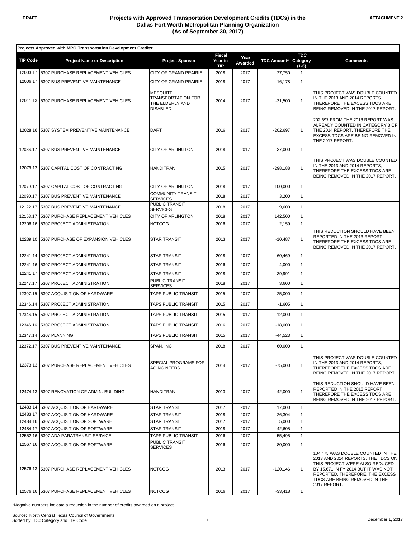|                      | Projects Approved with MPO Transportation Development Credits: |                                                                                    |                                        |                 |                      |                              |                                                                                                                                                                                                                                      |  |  |
|----------------------|----------------------------------------------------------------|------------------------------------------------------------------------------------|----------------------------------------|-----------------|----------------------|------------------------------|--------------------------------------------------------------------------------------------------------------------------------------------------------------------------------------------------------------------------------------|--|--|
| <b>TIP Code</b>      | <b>Project Name or Description</b>                             | <b>Project Sponsor</b>                                                             | <b>Fiscal</b><br>Year in<br><b>TIP</b> | Year<br>Awarded | TDC Amount* Category | <b>TDC</b><br>$(1-6)$        | <b>Comments</b>                                                                                                                                                                                                                      |  |  |
| 12003.17             | 5307 PURCHASE REPLACEMENT VEHICLES                             | CITY OF GRAND PRAIRIE                                                              | 2018                                   | 2017            | 27,750               | $\mathbf{1}$                 |                                                                                                                                                                                                                                      |  |  |
| 12006.17             | 5307 BUS PREVENTIVE MAINTENANCE                                | CITY OF GRAND PRAIRIE                                                              | 2018                                   | 2017            | 16,178               | $\mathbf{1}$                 |                                                                                                                                                                                                                                      |  |  |
|                      | 12011.13 5307 PURCHASE REPLACEMENT VEHICLES                    | <b>MESQUITE</b><br><b>TRANSPORTATION FOR</b><br>THE ELDERLY AND<br><b>DISABLED</b> | 2014                                   | 2017            | $-31,500$            | $\mathbf{1}$                 | THIS PROJECT WAS DOUBLE COUNTED<br>IN THE 2013 AND 2014 REPORTS,<br>THEREFORE THE EXCESS TDCS ARE<br>BEING REMOVED IN THE 2017 REPORT.                                                                                               |  |  |
| 12028.16             | 5307 SYSTEM PREVENTIVE MAINTENANCE                             | <b>DART</b>                                                                        | 2016                                   | 2017            | $-202,697$           | $\mathbf{1}$                 | 202,697 FROM THE 2016 REPORT WAS<br>ALREADY COUNTED IN CATEGORY 3 OF<br>THE 2014 REPORT. THEREFORE THE<br>EXCESS TDCS ARE BEING REMOVED IN<br>THE 2017 REPORT.                                                                       |  |  |
| 12036.17             | 5307 BUS PREVENTIVE MAINTENANCE                                | <b>CITY OF ARLINGTON</b>                                                           | 2018                                   | 2017            | 37,000               | $\mathbf{1}$                 |                                                                                                                                                                                                                                      |  |  |
| 12079.13             | 5307 CAPITAL COST OF CONTRACTING                               | <b>HANDITRAN</b>                                                                   | 2015                                   | 2017            | -298,188             | 1                            | THIS PROJECT WAS DOUBLE COUNTED<br>IN THE 2013 AND 2014 REPORTS,<br>THEREFORE THE EXCESS TDCS ARE<br>BEING REMOVED IN THE 2017 REPORT.                                                                                               |  |  |
| 12079.17             | 5307 CAPITAL COST OF CONTRACTING                               | <b>CITY OF ARLINGTON</b>                                                           | 2018                                   | 2017            | 100,000              | $\mathbf{1}$                 |                                                                                                                                                                                                                                      |  |  |
| 12090.17             | 5307 BUS PREVENTIVE MAINTENANCE                                | <b>COMMUNITY TRANSIT</b><br><b>SERVICES</b>                                        | 2018                                   | 2017            | 3,200                | $\mathbf{1}$                 |                                                                                                                                                                                                                                      |  |  |
| 12122.17             | 5307 BUS PREVENTIVE MAINTENANCE                                | PUBLIC TRANSIT                                                                     | 2018                                   | 2017            | 9,600                | $\mathbf{1}$                 |                                                                                                                                                                                                                                      |  |  |
| 12153.17             | 5307 PURCHASE REPLACEMENT VEHICLES                             | <b>SERVICES</b><br><b>CITY OF ARLINGTON</b>                                        | 2018                                   | 2017            | 142,500              | $\mathbf{1}$                 |                                                                                                                                                                                                                                      |  |  |
| 12206.16             | 5307 PROJECT ADMINISTRATION                                    | <b>NCTCOG</b>                                                                      | 2016                                   | 2017            | 2,159                | $\mathbf{1}$                 |                                                                                                                                                                                                                                      |  |  |
| 12239.10             | 5307 PURCHASE OF EXPANSION VEHICLES                            | <b>STAR TRANSIT</b>                                                                | 2013                                   | 2017            | $-10,487$            | $\mathbf{1}$                 | THIS REDUCTION SHOULD HAVE BEEN<br>REPORTED IN THE 2013 REPORT,<br>THEREFORE THE EXCESS TDCS ARE<br>BEING REMOVED IN THE 2017 REPORT.                                                                                                |  |  |
| 12241.14             | 5307 PROJECT ADMINISTRATION                                    | <b>STAR TRANSIT</b>                                                                | 2018                                   | 2017            | 60,469               | $\mathbf{1}$                 |                                                                                                                                                                                                                                      |  |  |
| 12241.16             | 5307 PROJECT ADMINISTRATION                                    | <b>STAR TRANSIT</b>                                                                | 2016                                   | 2017            | 4,000                | $\mathbf{1}$                 |                                                                                                                                                                                                                                      |  |  |
| 12241.17             | 5307 PROJECT ADMINISTRATION                                    | <b>STAR TRANSIT</b>                                                                | 2018                                   | 2017            | 39,991               | $\mathbf{1}$                 |                                                                                                                                                                                                                                      |  |  |
| 12247.17             | 5307 PROJECT ADMINISTRATION                                    | PUBLIC TRANSIT                                                                     | 2018                                   | 2017            |                      | $\mathbf{1}$                 |                                                                                                                                                                                                                                      |  |  |
|                      |                                                                | <b>SERVICES</b>                                                                    |                                        |                 | 3,600                |                              |                                                                                                                                                                                                                                      |  |  |
| 12307.15             | 5307 ACQUISITION OF HARDWARE                                   | TAPS PUBLIC TRANSIT                                                                | 2015                                   | 2017            | $-25,000$            | 1                            |                                                                                                                                                                                                                                      |  |  |
| 12346.14             | 5307 PROJECT ADMINISTRATION                                    | TAPS PUBLIC TRANSIT                                                                | 2015                                   | 2017            | $-1,605$             | $\mathbf{1}$                 |                                                                                                                                                                                                                                      |  |  |
| 12346.15             | 5307 PROJECT ADMINISTRATION                                    | TAPS PUBLIC TRANSIT                                                                | 2015                                   | 2017            | $-12,000$            | $\mathbf{1}$                 |                                                                                                                                                                                                                                      |  |  |
| 12346.16             | 5307 PROJECT ADMINISTRATION                                    | TAPS PUBLIC TRANSIT                                                                | 2016                                   | 2017            | $-18,000$            | $\mathbf{1}$                 |                                                                                                                                                                                                                                      |  |  |
| 12347.14             | 5307 PLANNING                                                  | <b>TAPS PUBLIC TRANSIT</b>                                                         | 2015                                   | 2017            | $-44,523$            | $\mathbf{1}$                 |                                                                                                                                                                                                                                      |  |  |
|                      | 12372.17 5307 BUS PREVENTIVE MAINTENANCE                       | SPAN, INC.                                                                         | 2018                                   | 2017            | 60,000               | $\mathbf{1}$                 |                                                                                                                                                                                                                                      |  |  |
|                      | 12373.13 5307 PURCHASE REPLACEMENT VEHICLES                    | SPECIAL PROGRAMS FOR<br><b>AGING NEEDS</b>                                         | 2014                                   | 2017            | $-75,000$            | 1                            | THIS PROJECT WAS DOUBLE COUNTED<br>IN THE 2013 AND 2014 REPORTS.<br>THEREFORE THE EXCESS TDCS ARE<br>BEING REMOVED IN THE 2017 REPORT.                                                                                               |  |  |
|                      | 12474.13 5307 RENOVATION OF ADMIN. BUILDING                    | <b>HANDITRAN</b>                                                                   | 2013                                   | 2017            | $-42,000$            | 1                            | THIS REDUCTION SHOULD HAVE BEEN<br>REPORTED IN THE 2015 REPORT.<br>THEREFORE THE EXCESS TDCS ARE<br>BEING REMOVED IN THE 2017 REPORT.                                                                                                |  |  |
| 12483.14             | 5307 ACQUISITION OF HARDWARE                                   | STAR TRANSIT                                                                       | 2017                                   | 2017            | 17,000               | $\mathbf{1}$                 |                                                                                                                                                                                                                                      |  |  |
| 12483.17             | 5307 ACQUISITION OF HARDWARE                                   | <b>STAR TRANSIT</b>                                                                | 2018                                   | 2017            | 26,304               | $\mathbf{1}$                 |                                                                                                                                                                                                                                      |  |  |
| 12484.16<br>12484.17 | 5307 ACQUISITION OF SOFTWARE<br>5307 ACQUISITION OF SOFTWARE   | <b>STAR TRANSIT</b><br><b>STAR TRANSIT</b>                                         | 2017<br>2018                           | 2017<br>2017    | 5,000<br>42,605      | $\mathbf{1}$<br>$\mathbf{1}$ |                                                                                                                                                                                                                                      |  |  |
| 12552.16             | 5307 ADA PARATRANSIT SERVICE                                   | <b>TAPS PUBLIC TRANSIT</b>                                                         | 2016                                   | 2017            | $-55,495$            | $\mathbf{1}$                 |                                                                                                                                                                                                                                      |  |  |
| 12567.16             | 5307 ACQUISITION OF SOFTWARE                                   | PUBLIC TRANSIT                                                                     | 2016                                   | 2017            | $-80,000$            | $\mathbf{1}$                 |                                                                                                                                                                                                                                      |  |  |
|                      | 12576.13 5307 PURCHASE REPLACEMENT VEHICLES                    | <b>SERVICES</b><br><b>NCTCOG</b>                                                   | 2013                                   | 2017            | $-120,146$           | $\mathbf{1}$                 | 104,475 WAS DOUBLE COUNTED IN THE<br>2013 AND 2014 REPORTS. THE TDCS ON<br>THIS PROJECT WERE ALSO REDUCED<br>BY 15,671 IN FY 2014 BUT IT WAS NOT<br>REPORTED. THEREFORE, THE EXCESS<br>TDCS ARE BEING REMOVED IN THE<br>2017 REPORT. |  |  |
|                      | 12576.16 5307 PURCHASE REPLACEMENT VEHICLES                    | <b>NCTCOG</b>                                                                      | 2016                                   | 2017            | $-33,418$            | $\overline{1}$               |                                                                                                                                                                                                                                      |  |  |

\*Negative numbers indicate a reduction in the number of credits awarded on a project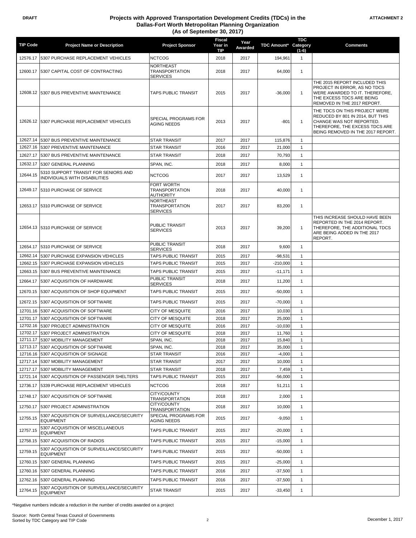#### **DRAFT Projects with Approved Transportation Development Credits (TDCs) in the Dallas-Fort Worth Metropolitan Planning Organization (As of September 30, 2017)**

| <b>TIP Code</b> | <b>Project Name or Description</b>                                            | <b>Project Sponsor</b>                                       | <b>Fiscal</b><br>Year in<br>TIP | Year<br>Awarded | <b>TDC Amount*</b> | <b>TDC</b><br>Category<br>$(1-6)$ | <b>Comments</b>                                                                                                                                                      |
|-----------------|-------------------------------------------------------------------------------|--------------------------------------------------------------|---------------------------------|-----------------|--------------------|-----------------------------------|----------------------------------------------------------------------------------------------------------------------------------------------------------------------|
| 12576.17        | 5307 PURCHASE REPLACEMENT VEHICLES                                            | <b>NCTCOG</b>                                                | 2018                            | 2017            | 194,961            | $\mathbf{1}$                      |                                                                                                                                                                      |
|                 | 12600.17 5307 CAPITAL COST OF CONTRACTING                                     | <b>NORTHEAST</b><br><b>TRANSPORTATION</b><br><b>SERVICES</b> | 2018                            | 2017            | 64,000             | $\mathbf{1}$                      |                                                                                                                                                                      |
|                 | 12608.12 5307 BUS PREVENTIVE MAINTENANCE                                      | TAPS PUBLIC TRANSIT                                          | 2015                            | 2017            | $-36,000$          | $\mathbf{1}$                      | THE 2015 REPORT INCLUDED THIS<br>PROJECT IN ERROR, AS NO TDCS<br>WERE AWARDED TO IT. THEREFORE,<br>THE EXCESS TDCS ARE BEING<br>REMOVED IN THE 2017 REPORT.          |
|                 | 12626.12 5307 PURCHASE REPLACEMENT VEHICLES                                   | <b>SPECIAL PROGRAMS FOR</b><br>AGING NEEDS                   | 2013                            | 2017            | $-801$             | $\mathbf{1}$                      | THE TDCS ON THIS PROJECT WERE<br>REDUCED BY 801 IN 2014, BUT THIS<br>CHANGE WAS NOT REPORTED.<br>THEREFORE, THE EXCESS TDCS ARE<br>BEING REMOVED IN THE 2017 REPORT. |
| 12627.14        | 5307 BUS PREVENTIVE MAINTENANCE                                               | <b>STAR TRANSIT</b>                                          | 2017                            | 2017            | 115,876            | $\mathbf{1}$                      |                                                                                                                                                                      |
| 12627.16        | 5307 PREVENTIVE MAINTENANCE                                                   | <b>STAR TRANSIT</b>                                          | 2016                            | 2017            | 21,000             | 1                                 |                                                                                                                                                                      |
| 12627.17        | 5307 BUS PREVENTIVE MAINTENANCE                                               | <b>STAR TRANSIT</b>                                          | 2018                            | 2017            | 70,793             | $\mathbf{1}$                      |                                                                                                                                                                      |
| 12632.17        | 5307 GENERAL PLANNING                                                         | SPAN, INC.                                                   | 2018                            | 2017            | 8,000              | $\mathbf{1}$                      |                                                                                                                                                                      |
| 12644.15        | 5310 SUPPORT TRANSIT FOR SENIORS AND<br>INDIVIDUALS WITH DISABILITIES         | <b>NCTCOG</b>                                                | 2017                            | 2017            | 13,529             | 1                                 |                                                                                                                                                                      |
| 12649.17        | 5310 PURCHASE OF SERVICE                                                      | <b>FORT WORTH</b><br><b>TRANSPORTATION</b><br>AUTHORITY      | 2018                            | 2017            | 40,000             | $\mathbf{1}$                      |                                                                                                                                                                      |
|                 | 12653.17 5310 PURCHASE OF SERVICE                                             | <b>NORTHEAST</b><br><b>TRANSPORTATION</b><br><b>SERVICES</b> | 2017                            | 2017            | 83,200             | $\mathbf{1}$                      |                                                                                                                                                                      |
|                 | 12654.13 5310 PURCHASE OF SERVICE                                             | PUBLIC TRANSIT<br><b>SERVICES</b>                            | 2013                            | 2017            | 39,200             | $\mathbf{1}$                      | THIS INCREASE SHOULD HAVE BEEN<br>REPORTED IN THE 2014 REPORT.<br>THEREFORE, THE ADDITIONAL TDCS<br>ARE BEING ADDED IN THE 2017<br>REPORT.                           |
| 12654.17        | 5310 PURCHASE OF SERVICE                                                      | PUBLIC TRANSIT<br><b>SERVICES</b>                            | 2018                            | 2017            | 9,600              | $\mathbf{1}$                      |                                                                                                                                                                      |
| 12662.14        | 5307 PURCHASE EXPANSION VEHICLES                                              | TAPS PUBLIC TRANSIT                                          | 2015                            | 2017            | $-98,531$          | $\mathbf{1}$                      |                                                                                                                                                                      |
| 12662.15        | 5307 PURCHASE EXPANSION VEHICLES                                              | TAPS PUBLIC TRANSIT                                          | 2015                            | 2017            | $-210,000$         | $\mathbf{1}$                      |                                                                                                                                                                      |
| 12663.15        | 5307 BUS PREVENTIVE MAINTENANCE                                               | TAPS PUBLIC TRANSIT                                          | 2015                            | 2017            | $-11,171$          | $\mathbf{1}$                      |                                                                                                                                                                      |
| 12664.17        | 5307 ACQUISITION OF HARDWARE                                                  | PUBLIC TRANSIT<br><b>SERVICES</b>                            | 2018                            | 2017            | 11,200             | $\mathbf{1}$                      |                                                                                                                                                                      |
| 12670.15        | 5307 ACQUISITION OF SHOP EQUIPMENT                                            | TAPS PUBLIC TRANSIT                                          | 2015                            | 2017            | $-50,000$          | $\mathbf{1}$                      |                                                                                                                                                                      |
| 12672.15        | 5307 ACQUISITION OF SOFTWARE                                                  | TAPS PUBLIC TRANSIT                                          | 2015                            | 2017            | $-70,000$          | $\mathbf{1}$                      |                                                                                                                                                                      |
| 12701.16        | 5307 ACQUISITION OF SOFTWARE                                                  | <b>CITY OF MESQUITE</b>                                      | 2016                            | 2017            | 10,030             | $\mathbf{1}$                      |                                                                                                                                                                      |
| 12701.17        | 5307 ACQUISITION OF SOFTWARE                                                  | CITY OF MESQUITE                                             | 2018                            | 2017            | 25,000             | 1                                 |                                                                                                                                                                      |
| 12702.16        | 5307 PROJECT ADMINISTRATION                                                   | CITY OF MESQUITE                                             | 2016                            | 2017            | $-10,030$          | 1                                 |                                                                                                                                                                      |
|                 | 12702.17 5307 PROJECT ADMINISTRATION                                          | CITY OF MESQUITE                                             | 2018                            | 2017            | 11,760             | 1                                 |                                                                                                                                                                      |
|                 | 12711.17 5307 MOBILITY MANAGEMENT                                             | SPAN, INC.                                                   | 2018                            | 2017            | 15,840             | $\overline{1}$                    |                                                                                                                                                                      |
|                 | 12713.17 5307 ACQUISITION OF SOFTWARE<br>12716.16 5307 ACQUISITION OF SIGNAGE | SPAN, INC.<br><b>STAR TRANSIT</b>                            | 2018<br>2016                    | 2017<br>2017    | 35,000<br>$-4,000$ | $\mathbf{1}$<br>$\mathbf{1}$      |                                                                                                                                                                      |
| 12717.14        | 5307 MOBILITY MANAGEMENT                                                      | STAR TRANSIT                                                 | 2017                            | 2017            | 10,000             | $\mathbf{1}$                      |                                                                                                                                                                      |
| 12717.17        | 5307 MOBILITY MANAGEMENT                                                      | STAR TRANSIT                                                 | 2018                            | 2017            | 7,459              | $\mathbf{1}$                      |                                                                                                                                                                      |
| 12721.14        | 5307 ACQUISITION OF PASSENGER SHELTERS                                        | TAPS PUBLIC TRANSIT                                          | 2015                            | 2017            | $-56,000$          | $\mathbf{1}$                      |                                                                                                                                                                      |
| 12736.17        | 5339 PURCHASE REPLACEMENT VEHICLES                                            | <b>NCTCOG</b>                                                | 2018                            | 2017            | 51,211             | $\mathbf{1}$                      |                                                                                                                                                                      |
| 12748.17        | 5307 ACQUISITION OF SOFTWARE                                                  | CITY/COUNTY<br>TRANSPORTATION                                | 2018                            | 2017            | 2,000              | $\mathbf{1}$                      |                                                                                                                                                                      |
| 12750.17        | 5307 PROJECT ADMINISTRATION                                                   | CITY/COUNTY<br>TRANSPORTATION                                | 2018                            | 2017            | 10,000             | $\mathbf{1}$                      |                                                                                                                                                                      |
| 12755.15        | 5307 ACQUISITION OF SURVEILLANCE/SECURITY<br><b>EQUIPMENT</b>                 | SPECIAL PROGRAMS FOR<br>AGING NEEDS                          | 2015                            | 2017            | $-9,050$           | $\mathbf{1}$                      |                                                                                                                                                                      |
| 12757.15        | 5307 ACQUISITION OF MISCELLANEOUS<br>EQUIPMENT                                | TAPS PUBLIC TRANSIT                                          | 2015                            | 2017            | $-20,000$          | $\mathbf{1}$                      |                                                                                                                                                                      |
| 12758.15        | 5307 ACQUISITION OF RADIOS                                                    | TAPS PUBLIC TRANSIT                                          | 2015                            | 2017            | $-15,000$          | $\mathbf{1}$                      |                                                                                                                                                                      |
| 12759.15        | 5307 ACQUISITION OF SURVEILLANCE/SECURITY<br><b>EQUIPMENT</b>                 | TAPS PUBLIC TRANSIT                                          | 2015                            | 2017            | $-50,000$          | $\mathbf{1}$                      |                                                                                                                                                                      |
| 12760.15        | 5307 GENERAL PLANNING                                                         | TAPS PUBLIC TRANSIT                                          | 2015                            | 2017            | $-25,000$          | $\mathbf{1}$                      |                                                                                                                                                                      |
| 12760.16        | 5307 GENERAL PLANNING                                                         | TAPS PUBLIC TRANSIT                                          | 2016                            | 2017            | $-37,500$          | $\mathbf{1}$                      |                                                                                                                                                                      |
| 12762.16        | 5307 GENERAL PLANNING                                                         | TAPS PUBLIC TRANSIT                                          | 2016                            | 2017            | $-37,500$          | $\mathbf{1}$                      |                                                                                                                                                                      |
| 12764.15        | 5307 ACQUISITION OF SURVEILLANCE/SECURITY<br>EQUIPMENT                        | STAR TRANSIT                                                 | 2015                            | 2017            | $-33,450$          | $\mathbf{1}$                      |                                                                                                                                                                      |

\*Negative numbers indicate a reduction in the number of credits awarded on a project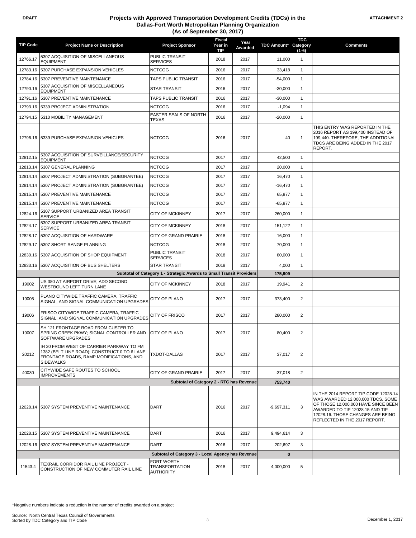#### **DRAFT Projects with Approved Transportation Development Credits (TDCs) in the Dallas-Fort Worth Metropolitan Planning Organization (As of September 30, 2017)**

|                 |                                                                                                                                                         |                                                   | <b>Fiscal</b>         |                 |                    | <b>TDC</b>          |                                                                                                                                                                                                                           |
|-----------------|---------------------------------------------------------------------------------------------------------------------------------------------------------|---------------------------------------------------|-----------------------|-----------------|--------------------|---------------------|---------------------------------------------------------------------------------------------------------------------------------------------------------------------------------------------------------------------------|
| <b>TIP Code</b> | <b>Project Name or Description</b>                                                                                                                      | <b>Project Sponsor</b>                            | Year in<br><b>TIP</b> | Year<br>Awarded | <b>TDC Amount*</b> | Category<br>$(1-6)$ | <b>Comments</b>                                                                                                                                                                                                           |
| 12766.17        | 5307 ACQUISITION OF MISCELLANEOUS<br><b>EQUIPMENT</b>                                                                                                   | <b>PUBLIC TRANSIT</b><br><b>SERVICES</b>          | 2018                  | 2017            | 11,000             | $\mathbf{1}$        |                                                                                                                                                                                                                           |
| 12783.16        | 5307 PURCHASE EXPANSION VEHICLES                                                                                                                        | <b>NCTCOG</b>                                     | 2016                  | 2017            | 33,418             | $\mathbf{1}$        |                                                                                                                                                                                                                           |
| 12784.16        | 5307 PREVENTIVE MAINTENANCE                                                                                                                             | TAPS PUBLIC TRANSIT                               | 2016                  | 2017            | $-54,000$          | $\mathbf{1}$        |                                                                                                                                                                                                                           |
| 12790.16        | 5307 ACQUISITION OF MISCELLANEOUS<br><b>EQUIPMENT</b>                                                                                                   | <b>STAR TRANSIT</b>                               | 2016                  | 2017            | $-30,000$          | $\mathbf{1}$        |                                                                                                                                                                                                                           |
| 12791.16        | 5307 PREVENTIVE MAINTENANCE                                                                                                                             | TAPS PUBLIC TRANSIT                               | 2016                  | 2017            | $-30,000$          | 1                   |                                                                                                                                                                                                                           |
| 12793.16        | 5339 PROJECT ADMINISTRATION                                                                                                                             | <b>NCTCOG</b>                                     | 2016                  | 2017            | $-1,094$           | $\mathbf{1}$        |                                                                                                                                                                                                                           |
| 12794.15        | 5310 MOBILITY MANAGEMENT                                                                                                                                | EASTER SEALS OF NORTH                             | 2016                  | 2017            | $-20,000$          | 1                   |                                                                                                                                                                                                                           |
|                 | 12796.16 5339 PURCHASE EXPANSION VEHICLES                                                                                                               | TEXAS<br><b>NCTCOG</b>                            | 2016                  | 2017            | 40                 | $\mathbf{1}$        | THIS ENTRY WAS REPORTED IN THE<br>2016 REPORT AS 199,400 INSTEAD OF<br>199,440. THEREFORE, THE ADDITIONAL<br>TDCS ARE BEING ADDED IN THE 2017<br>REPORT.                                                                  |
| 12812.15        | 5307 ACQUISITION OF SURVEILLANCE/SECURITY<br><b>EQUIPMENT</b>                                                                                           | NCTCOG                                            | 2017                  | 2017            | 42,500             | $\mathbf{1}$        |                                                                                                                                                                                                                           |
| 12813.14        | 5307 GENERAL PLANNING                                                                                                                                   | <b>NCTCOG</b>                                     | 2017                  | 2017            | 20,000             | 1                   |                                                                                                                                                                                                                           |
| 12814.14        | 5307 PROJECT ADMINISTRATION (SUBGRANTEE)                                                                                                                | <b>NCTCOG</b>                                     | 2017                  | 2017            | 16,470             | $\mathbf{1}$        |                                                                                                                                                                                                                           |
| 12814.14        | 5307 PROJECT ADMINISTRATION (SUBGRANTEE)                                                                                                                | <b>NCTCOG</b>                                     | 2017                  | 2017            | $-16,470$          | $\mathbf{1}$        |                                                                                                                                                                                                                           |
| 12815.14        | 5307 PREVENTIVE MAINTENANCE                                                                                                                             | <b>NCTCOG</b>                                     | 2017                  | 2017            | 65,877             | $\mathbf{1}$        |                                                                                                                                                                                                                           |
| 12815.14        | 5307 PREVENTIVE MAINTENANCE                                                                                                                             | <b>NCTCOG</b>                                     | 2017                  | 2017            | $-65,877$          | $\mathbf{1}$        |                                                                                                                                                                                                                           |
| 12824.16        | 5307 SUPPORT URBANIZED AREA TRANSIT<br><b>SERVICE</b>                                                                                                   | <b>CITY OF MCKINNEY</b>                           | 2017                  | 2017            | 260,000            | $\mathbf{1}$        |                                                                                                                                                                                                                           |
| 12824.17        | 5307 SUPPORT URBANIZED AREA TRANSIT<br>SERVICE                                                                                                          | <b>CITY OF MCKINNEY</b>                           | 2018                  | 2017            | 151,122            | $\mathbf{1}$        |                                                                                                                                                                                                                           |
| 12828.17        | 5307 ACQUISITION OF HARDWARE                                                                                                                            | CITY OF GRAND PRAIRIE                             | 2018                  | 2017            | 16,000             | $\mathbf{1}$        |                                                                                                                                                                                                                           |
| 12829.17        | 5307 SHORT RANGE PLANNING                                                                                                                               | <b>NCTCOG</b>                                     | 2018                  | 2017            | 70,000             | $\mathbf{1}$        |                                                                                                                                                                                                                           |
| 12830.16        | 5307 ACQUISITION OF SHOP EQUIPMENT                                                                                                                      | PUBLIC TRANSIT<br><b>SERVICES</b>                 | 2018                  | 2017            | 80,000             | $\mathbf{1}$        |                                                                                                                                                                                                                           |
| 12833.16        | 5307 ACQUISITION OF BUS SHELTERS                                                                                                                        | <b>STAR TRANSIT</b>                               | 2018                  | 2017            | 4,000              | 1                   |                                                                                                                                                                                                                           |
|                 | Subtotal of Category 1 - Strategic Awards to Small Transit Providers                                                                                    |                                                   |                       |                 | 175,909            |                     |                                                                                                                                                                                                                           |
| 19002           | US 380 AT AIRPORT DRIVE; ADD SECOND<br>WESTBOUND LEFT TURN LANE                                                                                         | <b>CITY OF MCKINNEY</b>                           | 2018                  | 2017            | 19,941             | 2                   |                                                                                                                                                                                                                           |
| 19005           | PLANO CITYWIDE TRAFFIC CAMERA, TRAFFIC<br>SIGNAL, AND SIGNAL COMMUNICATION UPGRADES                                                                     | CITY OF PLANO                                     | 2017                  | 2017            | 373,400            | 2                   |                                                                                                                                                                                                                           |
| 19006           | FRISCO CITYWIDE TRAFFIC CAMERA, TRAFFIC<br>SIGNAL, AND SIGNAL COMMUNICATION UPGRADES                                                                    | <b>CITY OF FRISCO</b>                             | 2017                  | 2017            | 280,000            | $\overline{2}$      |                                                                                                                                                                                                                           |
| 19007           | SH 121 FRONTAGE ROAD FROM CUSTER TO<br>SPRING CREEK PKWY; SIGNAL CONTROLLER AND<br>SOFTWARE UPGRADES                                                    | <b>CITY OF PLANO</b>                              | 2017                  | 2017            | 80,400             | $\overline{2}$      |                                                                                                                                                                                                                           |
| 20212           | IH 20 FROM WEST OF CARRIER PARKWAY TO FM<br>1382 (BELT LINE ROAD); CONSTRUCT 0 TO 6 LANE<br>FRONTAGE ROADS, RAMP MODIFICATIONS, AND<br><b>SIDEWALKS</b> | <b>TXDOT-DALLAS</b>                               | 2017                  | 2017            | 37,017             | $\overline{2}$      |                                                                                                                                                                                                                           |
| 40030           | CITYWIDE SAFE ROUTES TO SCHOOL<br><b>IMPROVEMENTS</b>                                                                                                   | CITY OF GRAND PRAIRIE                             | 2017                  | 2017            | $-37,018$          | $\overline{2}$      |                                                                                                                                                                                                                           |
|                 |                                                                                                                                                         | Subtotal of Category 2 - RTC has Revenue          |                       |                 | 753,740            |                     |                                                                                                                                                                                                                           |
|                 |                                                                                                                                                         |                                                   |                       |                 |                    |                     |                                                                                                                                                                                                                           |
|                 | 12028.14 5307 SYSTEM PREVENTIVE MAINTENANCE                                                                                                             | DART                                              | 2016                  | 2017            | $-9,697,311$       | 3                   | IN THE 2014 REPORT TIP CODE 12028.14<br>WAS AWARDED 12,000,000 TDCS. SOME<br>OF THOSE 12,000,000 HAVE SINCE BEEN<br>AWARDED TO TIP 12028.15 AND TIP<br>12028.16. THOSE CHANGES ARE BEING<br>REFLECTED IN THE 2017 REPORT. |
| 12028.15        | 5307 SYSTEM PREVENTIVE MAINTENANCE                                                                                                                      | DART                                              | 2016                  | 2017            | 9,494,614          | 3                   |                                                                                                                                                                                                                           |
| 12028.16        | 5307 SYSTEM PREVENTIVE MAINTENANCE                                                                                                                      | DART                                              | 2016                  | 2017            | 202,697            | 3                   |                                                                                                                                                                                                                           |
|                 |                                                                                                                                                         | Subtotal of Category 3 - Local Agency has Revenue |                       |                 | $\bf{0}$           |                     |                                                                                                                                                                                                                           |
| 11543.4         | TEXRAIL CORRIDOR RAIL LINE PROJECT -<br>CONSTRUCTION OF NEW COMMUTER RAIL LINE                                                                          | FORT WORTH<br>TRANSPORTATION<br><b>AUTHORITY</b>  | 2018                  | 2017            | 4,000,000          | 5                   |                                                                                                                                                                                                                           |

\*Negative numbers indicate a reduction in the number of credits awarded on a project